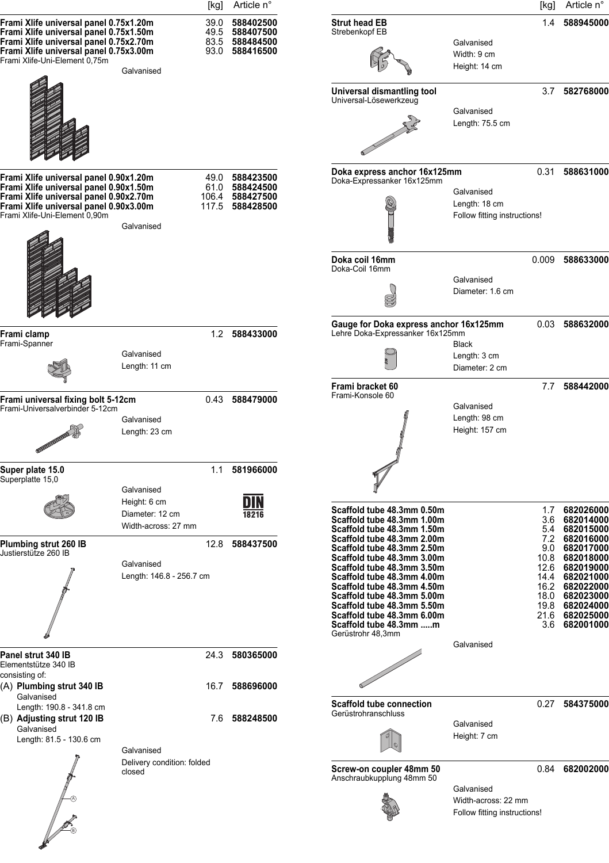|                                                                                                                                                                                                       |                                                                      | [kg]                 | Article n°                                                             |                                                                                                                                                                                                                                                                                                                           |                                                                   | [kg]                | Article n°                                                                                                                                                      |
|-------------------------------------------------------------------------------------------------------------------------------------------------------------------------------------------------------|----------------------------------------------------------------------|----------------------|------------------------------------------------------------------------|---------------------------------------------------------------------------------------------------------------------------------------------------------------------------------------------------------------------------------------------------------------------------------------------------------------------------|-------------------------------------------------------------------|---------------------|-----------------------------------------------------------------------------------------------------------------------------------------------------------------|
| Frami Xlife universal panel 0.75x1.20m<br>Frami Xlife universal panel 0.75x1.50m<br>Frami Xlife universal panel 0.75x2.70m<br>Frami Xlife universal panel 0.75x3.00m<br>Frami Xlife-Uni-Element 0,75m | Galvanised                                                           | 39.0<br>83.5<br>93.0 | 588402500<br>49.5 588407500<br>588484500<br>588416500                  | <b>Strut head EB</b><br>Strebenkopf EB                                                                                                                                                                                                                                                                                    | Galvanised<br>Width: 9 cm<br>Height: 14 cm                        | 1.4                 | 588945000                                                                                                                                                       |
|                                                                                                                                                                                                       |                                                                      |                      |                                                                        | Universal dismantling tool<br>Universal-Lösewerkzeug                                                                                                                                                                                                                                                                      | Galvanised<br>Length: 75.5 cm                                     |                     | 3.7 582768000                                                                                                                                                   |
| Frami Xlife universal panel 0.90x1.20m<br>Frami Xlife universal panel 0.90x1.50m<br>Frami Xlife universal panel 0.90x2.70m<br>Frami Xlife universal panel 0.90x3.00m<br>Frami Xlife-Uni-Element 0,90m | Galvanised                                                           |                      | 49.0 588423500<br>61.0 588424500<br>106.4 588427500<br>117.5 588428500 | Doka express anchor 16x125mm<br>Doka-Expressanker 16x125mm                                                                                                                                                                                                                                                                | Galvanised<br>Length: 18 cm<br>Follow fitting instructions!       | 0.31                | 588631000                                                                                                                                                       |
|                                                                                                                                                                                                       |                                                                      |                      |                                                                        | Doka coil 16mm<br>Doka-Coil 16mm                                                                                                                                                                                                                                                                                          | Galvanised<br>Diameter: 1.6 cm                                    | 0.009               | 588633000                                                                                                                                                       |
| Frami clamp<br>Frami-Spanner                                                                                                                                                                          | Galvanised<br>Length: 11 cm                                          |                      | 1.2 588433000                                                          | Gauge for Doka express anchor 16x125mm<br>Lehre Doka-Expressanker 16x125mm                                                                                                                                                                                                                                                | <b>Black</b><br>Length: 3 cm<br>Diameter: 2 cm                    |                     | 0.03 588632000                                                                                                                                                  |
| Frami universal fixing bolt 5-12cm<br>Frami-Universalverbinder 5-12cm<br><b>OLIVERINAL COLLEGE</b>                                                                                                    | Galvanised<br>Length: 23 cm                                          |                      | 0.43 588479000                                                         | Frami bracket 60<br>Frami-Konsole 60                                                                                                                                                                                                                                                                                      | Galvanised<br>Length: 98 cm<br>Height: 157 cm                     | 7.7                 | 588442000                                                                                                                                                       |
| Super plate 15.0<br>Superplatte 15,0                                                                                                                                                                  | Galvanised<br>Height: 6 cm<br>Diameter: 12 cm<br>Width-across: 27 mm | 1.1                  | 581966000<br>18216                                                     | Scaffold tube 48.3mm 0.50m<br>Scaffold tube 48.3mm 1.00m<br>Scaffold tube 48.3mm 1.50m                                                                                                                                                                                                                                    |                                                                   | 1.7<br>3.6<br>5.4   | 682026000<br>682014000<br>682015000                                                                                                                             |
| Plumbing strut 260 IB<br>Justierstütze 260 IB                                                                                                                                                         | Galvanised<br>Length: 146.8 - 256.7 cm                               | 12.8                 | 588437500                                                              | Scaffold tube 48.3mm 2.00m<br>Scaffold tube 48.3mm 2.50m<br>Scaffold tube 48.3mm 3.00m<br>Scaffold tube 48.3mm 3.50m<br>Scaffold tube 48.3mm 4.00m<br>Scaffold tube 48.3mm 4.50m<br>Scaffold tube 48.3mm 5.00m<br>Scaffold tube 48.3mm 5.50m<br>Scaffold tube 48.3mm 6.00m<br>Scaffold tube 48.3mm m<br>Gerüstrohr 48,3mm | Galvanised                                                        | 9.0<br>10.8<br>12.6 | 7.2 682016000<br>682017000<br>682018000<br>682019000<br>14.4 682021000<br>16.2 682022000<br>18.0 682023000<br>19.8 682024000<br>21.6 682025000<br>3.6 682001000 |
| Panel strut 340 IB<br>Elementstütze 340 IB<br>consisting of:<br>(A) Plumbing strut 340 IB                                                                                                             |                                                                      | 16.7                 | 24.3 580365000<br>588696000                                            |                                                                                                                                                                                                                                                                                                                           |                                                                   |                     |                                                                                                                                                                 |
| Galvanised<br>Length: 190.8 - 341.8 cm<br>(B) Adjusting strut 120 IB<br>Galvanised<br>Length: 81.5 - 130.6 cm                                                                                         | Galvanised                                                           | 7.6                  | 588248500                                                              | <b>Scaffold tube connection</b><br>Gerüstrohranschluss                                                                                                                                                                                                                                                                    | Galvanised<br>Height: 7 cm                                        |                     | 0.27 584375000                                                                                                                                                  |
|                                                                                                                                                                                                       | Delivery condition: folded<br>closed                                 |                      |                                                                        | Screw-on coupler 48mm 50<br>Anschraubkupplung 48mm 50                                                                                                                                                                                                                                                                     | Galvanised<br>Width-across: 22 mm<br>Follow fitting instructions! |                     | 0.84 682002000                                                                                                                                                  |